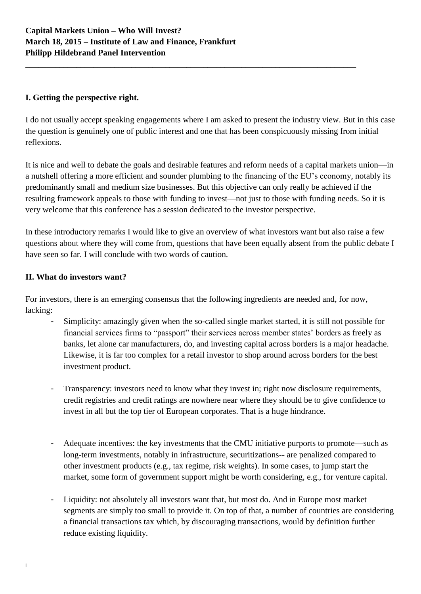## **I. Getting the perspective right.**

I do not usually accept speaking engagements where I am asked to present the industry view. But in this case the question is genuinely one of public interest and one that has been conspicuously missing from initial reflexions.

\_\_\_\_\_\_\_\_\_\_\_\_\_\_\_\_\_\_\_\_\_\_\_\_\_\_\_\_\_\_\_\_\_\_\_\_\_\_\_\_\_\_\_\_\_\_\_\_\_\_\_\_\_\_\_\_\_\_\_\_\_\_\_\_\_\_\_\_\_\_\_\_\_\_\_\_\_\_

It is nice and well to debate the goals and desirable features and reform needs of a capital markets union—in a nutshell offering a more efficient and sounder plumbing to the financing of the EU's economy, notably its predominantly small and medium size businesses. But this objective can only really be achieved if the resulting framework appeals to those with funding to invest—not just to those with funding needs. So it is very welcome that this conference has a session dedicated to the investor perspective.

In these introductory remarks I would like to give an overview of what investors want but also raise a few questions about where they will come from, questions that have been equally absent from the public debate I have seen so far. I will conclude with two words of caution.

## **II. What do investors want?**

For investors, there is an emerging consensus that the following ingredients are needed and, for now, lacking:

- Simplicity: amazingly given when the so-called single market started, it is still not possible for financial services firms to "passport" their services across member states' borders as freely as banks, let alone car manufacturers, do, and investing capital across borders is a major headache. Likewise, it is far too complex for a retail investor to shop around across borders for the best investment product.
- Transparency: investors need to know what they invest in; right now disclosure requirements, credit registries and credit ratings are nowhere near where they should be to give confidence to invest in all but the top tier of European corporates. That is a huge hindrance.
- Adequate incentives: the key investments that the CMU initiative purports to promote—such as long-term investments, notably in infrastructure, securitizations-- are penalized compared to other investment products (e.g., tax regime, risk weights). In some cases, to jump start the market, some form of government support might be worth considering, e.g., for venture capital.
- Liquidity: not absolutely all investors want that, but most do. And in Europe most market segments are simply too small to provide it. On top of that, a number of countries are considering a financial transactions tax which, by discouraging transactions, would by definition further reduce existing liquidity.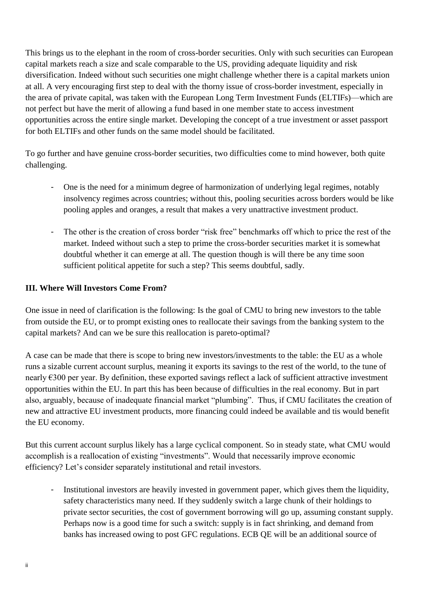This brings us to the elephant in the room of cross-border securities. Only with such securities can European capital markets reach a size and scale comparable to the US, providing adequate liquidity and risk diversification. Indeed without such securities one might challenge whether there is a capital markets union at all. A very encouraging first step to deal with the thorny issue of cross-border investment, especially in the area of private capital, was taken with the European Long Term Investment Funds (ELTIFs)—which are not perfect but have the merit of allowing a fund based in one member state to access investment opportunities across the entire single market. Developing the concept of a true investment or asset passport for both ELTIFs and other funds on the same model should be facilitated.

To go further and have genuine cross-border securities, two difficulties come to mind however, both quite challenging.

- One is the need for a minimum degree of harmonization of underlying legal regimes, notably insolvency regimes across countries; without this, pooling securities across borders would be like pooling apples and oranges, a result that makes a very unattractive investment product.
- The other is the creation of cross border "risk free" benchmarks off which to price the rest of the market. Indeed without such a step to prime the cross-border securities market it is somewhat doubtful whether it can emerge at all. The question though is will there be any time soon sufficient political appetite for such a step? This seems doubtful, sadly.

## **III. Where Will Investors Come From?**

One issue in need of clarification is the following: Is the goal of CMU to bring new investors to the table from outside the EU, or to prompt existing ones to reallocate their savings from the banking system to the capital markets? And can we be sure this reallocation is pareto-optimal?

A case can be made that there is scope to bring new investors/investments to the table: the EU as a whole runs a sizable current account surplus, meaning it exports its savings to the rest of the world, to the tune of nearly €300 per year. By definition, these exported savings reflect a lack of sufficient attractive investment opportunities within the EU. In part this has been because of difficulties in the real economy. But in part also, arguably, because of inadequate financial market "plumbing". Thus, if CMU facilitates the creation of new and attractive EU investment products, more financing could indeed be available and tis would benefit the EU economy.

But this current account surplus likely has a large cyclical component. So in steady state, what CMU would accomplish is a reallocation of existing "investments". Would that necessarily improve economic efficiency? Let's consider separately institutional and retail investors.

Institutional investors are heavily invested in government paper, which gives them the liquidity, safety characteristics many need. If they suddenly switch a large chunk of their holdings to private sector securities, the cost of government borrowing will go up, assuming constant supply. Perhaps now is a good time for such a switch: supply is in fact shrinking, and demand from banks has increased owing to post GFC regulations. ECB QE will be an additional source of